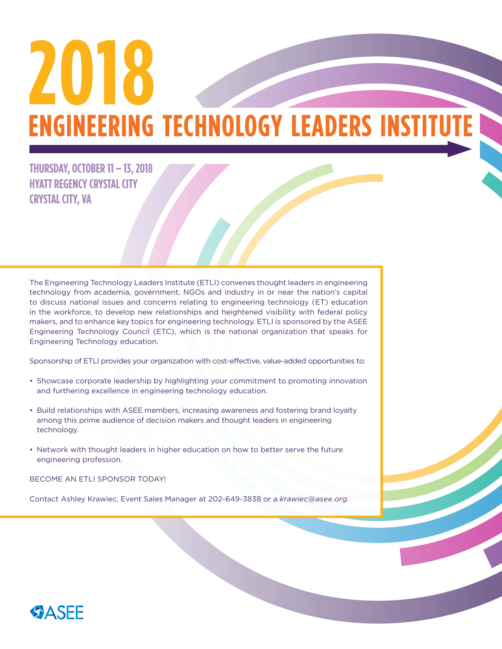# 2018 **ENGINEERING TECHNOLOGY LEADERS INSTITUTE I**

## **THURSDAY, OCTOBER 11 – 13, 2018 HYATT REGENCY CRYSTAL CITY CRYSTAL CITY, VA**

The Engineering Technology Leaders Institute (ETLI) convenes thought leaders in engineering technology from academia, government, NGOs and industry in or near the nation's capital to discuss national issues and concerns relating to engineering technology (ET) education in the workforce, to develop new relationships and heightened visibility with federal policy makers, and to enhance key topics for engineering technology. ETLI is sponsored by the ASEE Engineering Technology Council (ETC), which is the national organization that speaks for Engineering Technology education.

Sponsorship of ETLI provides your organization with cost-effective, value-added opportunities to:

- Showcase corporate leadership by highlighting your commitment to promoting innovation and furthering excellence in engineering technology education.
- Build relationships with ASEE members, increasing awareness and fostering brand loyalty among this prime audience of decision makers and thought leaders in engineering technology.
- Network with thought leaders in higher education on how to better serve the future engineering profession.

BECOME AN ETLI SPONSOR TODAY!

Contact Ashley Krawiec, Event Sales Manager at 202-649-3838 or *a.krawiec@asee.org.* 

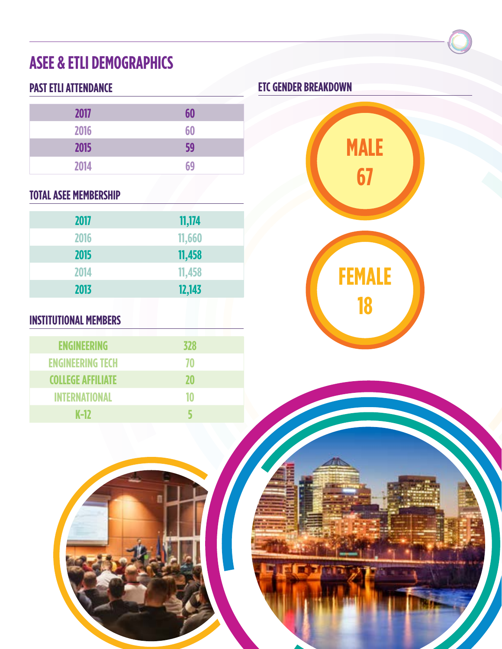# **ASEE & ETLI DEMOGRAPHICS**

## **PAST ETLI ATTENDANCE**

| 2017 | 60 |
|------|----|
| 2016 | 60 |
| 2015 | 59 |
| 2014 | 69 |

## **TOTAL ASEE MEMBERSHIP**

| 2017 | 11,174 |
|------|--------|
| 2016 | 11,660 |
| 2015 | 11,458 |
| 2014 | 11,458 |
| 2013 | 12,143 |

## **INSTITUTIONAL MEMBERS**

| <b>ENGINEERING</b>       | 328 |
|--------------------------|-----|
| <b>ENGINEERING TECH</b>  | 70  |
| <b>COLLEGE AFFILIATE</b> | 20  |
| <b>INTERNATIONAL</b>     | 10  |
| $K-12$                   |     |

## **ETC GENDER BREAKDOWN**

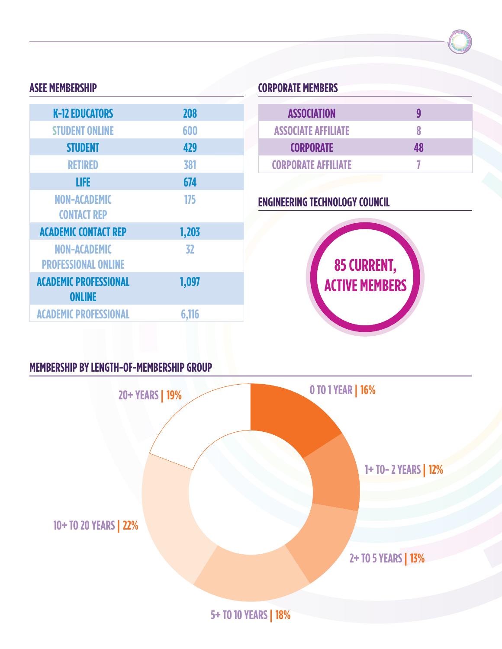## **ASEE MEMBERSHIP**

| <b>K-12 EDUCATORS</b>        | <b>208</b> |
|------------------------------|------------|
| <b>STUDENT ONLINE</b>        | 600        |
| <b>STUDENT</b>               | 429        |
| <b>RETIRED</b>               | 381        |
| LIFE                         | 674        |
| <b>NON-ACADEMIC</b>          | 175        |
| <b>CONTACT REP</b>           |            |
| <b>ACADEMIC CONTACT REP</b>  | 1,203      |
| <b>NON-ACADEMIC</b>          | 32         |
| <b>PROFESSIONAL ONLINE</b>   |            |
| <b>ACADEMIC PROFESSIONAL</b> | 1,097      |
| <b>ONLINE</b>                |            |
| <b>ACADEMIC PROFESSIONAL</b> | 6,116      |
|                              |            |

## **CORPORATE MEMBERS**

| <b>ASSOCIATION</b>         |    |  |
|----------------------------|----|--|
| <b>ASSOCIATE AFFILIATE</b> | Χ  |  |
| <b>CORPORATE</b>           | 48 |  |
| <b>CORPORATE AFFILIATE</b> |    |  |
|                            |    |  |

## **ENGINEERING TECHNOLOGY COUNCIL**



## **MEMBERSHIP BY LENGTH-OF-MEMBERSHIP GROUP**

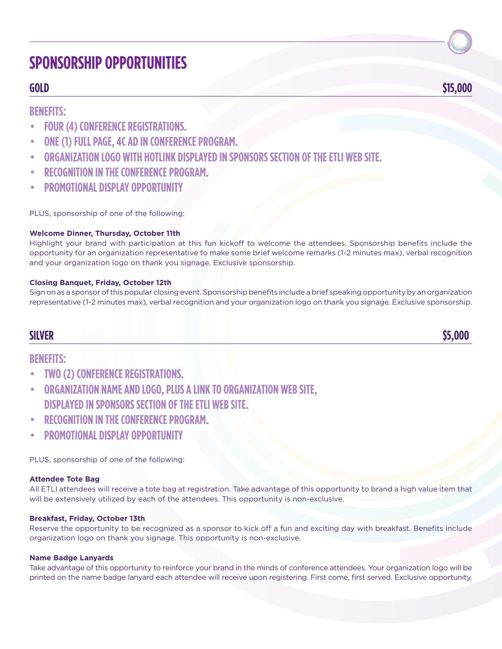## **SPONSORSHIP OPPORTUNITIES**

## **GOLD \$15,000**

## **BENEFITS:**

- • **FOUR (4) CONFERENCE REGISTRATIONS.**
- **ONE (1) FULL PAGE, 4C AD IN CONFERENCE PROGRAM.**
- **ORGANIZATION LOGO WITH HOTLINK DISPLAYED IN SPONSORS SECTION OF THE ETLI WEB SITE.**
- **RECOGNITION IN THE CONFERENCE PROGRAM.**
- **PROMOTIONAL DISPLAY OPPORTUNITY**

PLUS, sponsorship of one of the following:

#### **Welcome Dinner, Thursday, October 11th**

Highlight your brand with participation at this fun kickoff to welcome the attendees. Sponsorship benefits include the opportunity for an organization representative to make some brief welcome remarks (1-2 minutes max), verbal recognition and your organization logo on thank you signage. Exclusive sponsorship.

#### **Closing Banquet, Friday, October 12th**

Sign on as a sponsor of this popular closing event. Sponsorship benefits include a brief speaking opportunity by an organization representative (1-2 minutes max), verbal recognition and your organization logo on thank you signage. Exclusive sponsorship.

**SILVER \$5,000**

## **BENEFITS:**

- • **TWO (2) CONFERENCE REGISTRATIONS.**
- **ORGANIZATION NAME AND LOGO, PLUS A LINK TO ORGANIZATION WEB SITE, DISPLAYED IN SPONSORS SECTION OF THE ETLI WEB SITE.**
- **RECOGNITION IN THE CONFERENCE PROGRAM.**
- **PROMOTIONAL DISPLAY OPPORTUNITY**

PLUS, sponsorship of one of the following:

#### **Attendee Tote Bag**

All ETLI attendees will receive a tote bag at registration. Take advantage of this opportunity to brand a high value item that will be extensively utilized by each of the attendees. This opportunity is non-exclusive.

#### **Breakfast, Friday, October 13th**

Reserve the opportunity to be recognized as a sponsor to kick off a fun and exciting day with breakfast. Benefits include organization logo on thank you signage. This opportunity is non-exclusive.

#### **Name Badge Lanyards**

Take advantage of this opportunity to reinforce your brand in the minds of conference attendees. Your organization logo will be printed on the name badge lanyard each attendee will receive upon registering. First come, first served. Exclusive opportunity.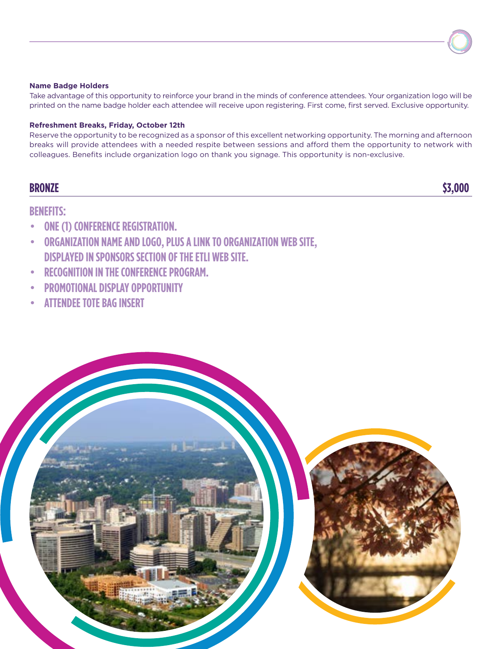#### **Name Badge Holders**

Take advantage of this opportunity to reinforce your brand in the minds of conference attendees. Your organization logo will be printed on the name badge holder each attendee will receive upon registering. First come, first served. Exclusive opportunity.

#### **Refreshment Breaks, Friday, October 12th**

Reserve the opportunity to be recognized as a sponsor of this excellent networking opportunity. The morning and afternoon breaks will provide attendees with a needed respite between sessions and afford them the opportunity to network with colleagues. Benefits include organization logo on thank you signage. This opportunity is non-exclusive.

## **BRONZE \$3,000**

#### **BENEFITS:**

- • **ONE (1) CONFERENCE REGISTRATION.**
- • **ORGANIZATION NAME AND LOGO, PLUS A LINK TO ORGANIZATION WEB SITE, DISPLAYED IN SPONSORS SECTION OF THE ETLI WEB SITE.**
- • **RECOGNITION IN THE CONFERENCE PROGRAM.**
- • **PROMOTIONAL DISPLAY OPPORTUNITY**
- **ATTENDEE TOTE BAG INSERT**